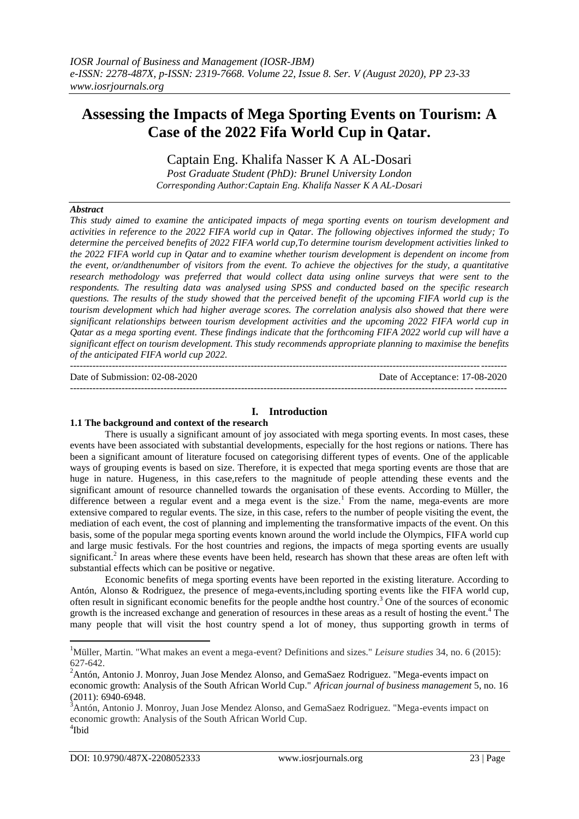# **Assessing the Impacts of Mega Sporting Events on Tourism: A Case of the 2022 Fifa World Cup in Qatar.**

Captain Eng. Khalifa Nasser K A AL-Dosari

*Post Graduate Student (PhD): Brunel University London Corresponding Author:Captain Eng. Khalifa Nasser K A AL-Dosari*

#### *Abstract*

*This study aimed to examine the anticipated impacts of mega sporting events on tourism development and activities in reference to the 2022 FIFA world cup in Qatar. The following objectives informed the study; To determine the perceived benefits of 2022 FIFA world cup,To determine tourism development activities linked to the 2022 FIFA world cup in Qatar and to examine whether tourism development is dependent on income from the event, or/andthenumber of visitors from the event. To achieve the objectives for the study, a quantitative research methodology was preferred that would collect data using online surveys that were sent to the respondents. The resulting data was analysed using SPSS and conducted based on the specific research questions. The results of the study showed that the perceived benefit of the upcoming FIFA world cup is the tourism development which had higher average scores. The correlation analysis also showed that there were significant relationships between tourism development activities and the upcoming 2022 FIFA world cup in Qatar as a mega sporting event. These findings indicate that the forthcoming FIFA 2022 world cup will have a significant effect on tourism development. This study recommends appropriate planning to maximise the benefits of the anticipated FIFA world cup 2022.*

--------------------------------------------------------------------------------------------------------------------------------------- Date of Submission: 02-08-2020 Date of Acceptance: 17-08-2020

---------------------------------------------------------------------------------------------------------------------------------------

## **I. Introduction**

#### **1.1 The background and context of the research**

There is usually a significant amount of joy associated with mega sporting events. In most cases, these events have been associated with substantial developments, especially for the host regions or nations. There has been a significant amount of literature focused on categorising different types of events. One of the applicable ways of grouping events is based on size. Therefore, it is expected that mega sporting events are those that are huge in nature. Hugeness, in this case,refers to the magnitude of people attending these events and the significant amount of resource channelled towards the organisation of these events. According to Müller, the difference between a regular event and a mega event is the size.<sup>1</sup> From the name, mega-events are more extensive compared to regular events. The size, in this case, refers to the number of people visiting the event, the mediation of each event, the cost of planning and implementing the transformative impacts of the event. On this basis, some of the popular mega sporting events known around the world include the Olympics, FIFA world cup and large music festivals. For the host countries and regions, the impacts of mega sporting events are usually significant.<sup>2</sup> In areas where these events have been held, research has shown that these areas are often left with substantial effects which can be positive or negative.

Economic benefits of mega sporting events have been reported in the existing literature. According to Antón, Alonso & Rodriguez, the presence of mega-events,including sporting events like the FIFA world cup, often result in significant economic benefits for the people andthe host country.<sup>3</sup> One of the sources of economic growth is the increased exchange and generation of resources in these areas as a result of hosting the event.<sup>4</sup> The many people that will visit the host country spend a lot of money, thus supporting growth in terms of

**.** 

<sup>&</sup>lt;sup>1</sup>Müller, Martin. "What makes an event a mega-event? Definitions and sizes." *Leisure studies* 34, no. 6 (2015): 627-642.

<sup>&</sup>lt;sup>2</sup>Antón, Antonio J. Monroy, Juan Jose Mendez Alonso, and GemaSaez Rodriguez. "Mega-events impact on economic growth: Analysis of the South African World Cup." *African journal of business management* 5, no. 16 (2011): 6940-6948.

<sup>3</sup>Antón, Antonio J. Monroy, Juan Jose Mendez Alonso, and GemaSaez Rodriguez. "Mega-events impact on economic growth: Analysis of the South African World Cup. 4 Ibid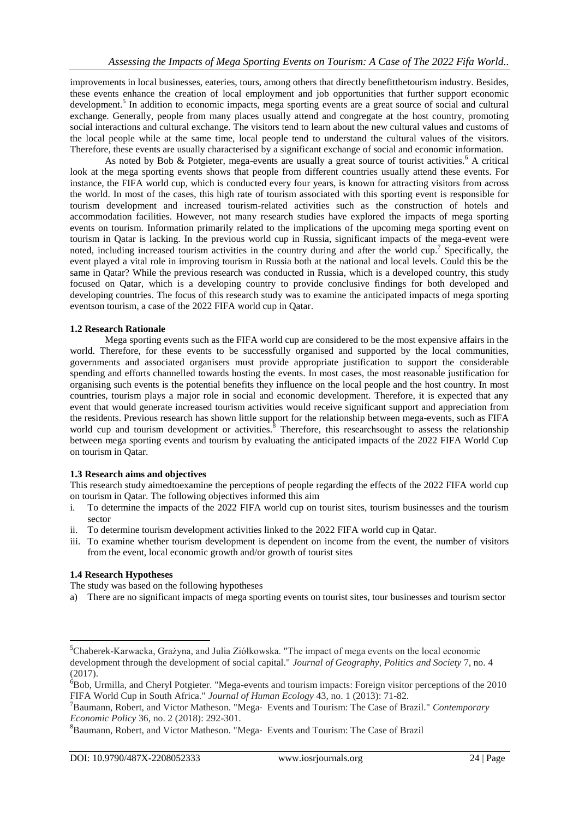improvements in local businesses, eateries, tours, among others that directly benefitthetourism industry. Besides, these events enhance the creation of local employment and job opportunities that further support economic development.<sup>5</sup> In addition to economic impacts, mega sporting events are a great source of social and cultural exchange. Generally, people from many places usually attend and congregate at the host country, promoting social interactions and cultural exchange. The visitors tend to learn about the new cultural values and customs of the local people while at the same time, local people tend to understand the cultural values of the visitors. Therefore, these events are usually characterised by a significant exchange of social and economic information.

As noted by Bob & Potgieter, mega-events are usually a great source of tourist activities.<sup>6</sup> A critical look at the mega sporting events shows that people from different countries usually attend these events. For instance, the FIFA world cup, which is conducted every four years, is known for attracting visitors from across the world. In most of the cases, this high rate of tourism associated with this sporting event is responsible for tourism development and increased tourism-related activities such as the construction of hotels and accommodation facilities. However, not many research studies have explored the impacts of mega sporting events on tourism. Information primarily related to the implications of the upcoming mega sporting event on tourism in Qatar is lacking. In the previous world cup in Russia, significant impacts of the mega-event were noted, including increased tourism activities in the country during and after the world cup.<sup>7</sup> Specifically, the event played a vital role in improving tourism in Russia both at the national and local levels. Could this be the same in Qatar? While the previous research was conducted in Russia, which is a developed country, this study focused on Qatar, which is a developing country to provide conclusive findings for both developed and developing countries. The focus of this research study was to examine the anticipated impacts of mega sporting eventson tourism, a case of the 2022 FIFA world cup in Qatar.

## **1.2 Research Rationale**

Mega sporting events such as the FIFA world cup are considered to be the most expensive affairs in the world. Therefore, for these events to be successfully organised and supported by the local communities, governments and associated organisers must provide appropriate justification to support the considerable spending and efforts channelled towards hosting the events. In most cases, the most reasonable justification for organising such events is the potential benefits they influence on the local people and the host country. In most countries, tourism plays a major role in social and economic development. Therefore, it is expected that any event that would generate increased tourism activities would receive significant support and appreciation from the residents. Previous research has shown little support for the relationship between mega-events, such as FIFA world cup and tourism development or activities.<sup>8</sup> Therefore, this researchsought to assess the relationship between mega sporting events and tourism by evaluating the anticipated impacts of the 2022 FIFA World Cup on tourism in Qatar.

## **1.3 Research aims and objectives**

This research study aimedtoexamine the perceptions of people regarding the effects of the 2022 FIFA world cup on tourism in Qatar. The following objectives informed this aim

- i. To determine the impacts of the 2022 FIFA world cup on tourist sites, tourism businesses and the tourism sector
- ii. To determine tourism development activities linked to the 2022 FIFA world cup in Qatar.
- iii. To examine whether tourism development is dependent on income from the event, the number of visitors from the event, local economic growth and/or growth of tourist sites

## **1.4 Research Hypotheses**

The study was based on the following hypotheses

a) There are no significant impacts of mega sporting events on tourist sites, tour businesses and tourism sector

<sup>1</sup> <sup>5</sup>Chaberek-Karwacka, Grażyna, and Julia Ziółkowska. "The impact of mega events on the local economic development through the development of social capital." *Journal of Geography, Politics and Society* 7, no. 4 (2017).

<sup>6</sup>Bob, Urmilla, and Cheryl Potgieter. "Mega-events and tourism impacts: Foreign visitor perceptions of the 2010 FIFA World Cup in South Africa." *Journal of Human Ecology* 43, no. 1 (2013): 71-82.

<sup>7</sup>Baumann, Robert, and Victor Matheson. "Mega‐ Events and Tourism: The Case of Brazil." *Contemporary Economic Policy* 36, no. 2 (2018): 292-301.

<sup>8</sup> Baumann, Robert, and Victor Matheson. "Mega‐ Events and Tourism: The Case of Brazil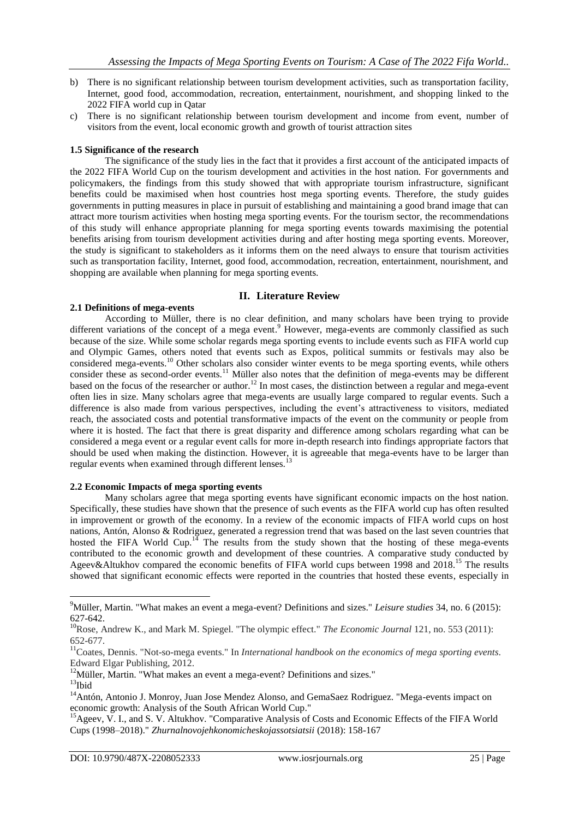- b) There is no significant relationship between tourism development activities, such as transportation facility, Internet, good food, accommodation, recreation, entertainment, nourishment, and shopping linked to the 2022 FIFA world cup in Qatar
- c) There is no significant relationship between tourism development and income from event, number of visitors from the event, local economic growth and growth of tourist attraction sites

## **1.5 Significance of the research**

The significance of the study lies in the fact that it provides a first account of the anticipated impacts of the 2022 FIFA World Cup on the tourism development and activities in the host nation. For governments and policymakers, the findings from this study showed that with appropriate tourism infrastructure, significant benefits could be maximised when host countries host mega sporting events. Therefore, the study guides governments in putting measures in place in pursuit of establishing and maintaining a good brand image that can attract more tourism activities when hosting mega sporting events. For the tourism sector, the recommendations of this study will enhance appropriate planning for mega sporting events towards maximising the potential benefits arising from tourism development activities during and after hosting mega sporting events. Moreover, the study is significant to stakeholders as it informs them on the need always to ensure that tourism activities such as transportation facility, Internet, good food, accommodation, recreation, entertainment, nourishment, and shopping are available when planning for mega sporting events.

#### **II. Literature Review**

#### **2.1 Definitions of mega-events**

According to Müller, there is no clear definition, and many scholars have been trying to provide different variations of the concept of a mega event.<sup>9</sup> However, mega-events are commonly classified as such because of the size. While some scholar regards mega sporting events to include events such as FIFA world cup and Olympic Games, others noted that events such as Expos, political summits or festivals may also be considered mega-events.<sup>10</sup> Other scholars also consider winter events to be mega sporting events, while others consider these as second-order events.<sup>11</sup> Müller also notes that the definition of mega-events may be different based on the focus of the researcher or author.<sup>12</sup> In most cases, the distinction between a regular and mega-event often lies in size. Many scholars agree that mega-events are usually large compared to regular events. Such a difference is also made from various perspectives, including the event's attractiveness to visitors, mediated reach, the associated costs and potential transformative impacts of the event on the community or people from where it is hosted. The fact that there is great disparity and difference among scholars regarding what can be considered a mega event or a regular event calls for more in-depth research into findings appropriate factors that should be used when making the distinction. However, it is agreeable that mega-events have to be larger than regular events when examined through different lenses.<sup>13</sup>

#### **2.2 Economic Impacts of mega sporting events**

Many scholars agree that mega sporting events have significant economic impacts on the host nation. Specifically, these studies have shown that the presence of such events as the FIFA world cup has often resulted in improvement or growth of the economy. In a review of the economic impacts of FIFA world cups on host nations, Antón, Alonso & Rodriguez, generated a regression trend that was based on the last seven countries that hosted the FIFA World Cup.<sup>14</sup> The results from the study shown that the hosting of these mega-events contributed to the economic growth and development of these countries. A comparative study conducted by Ageev&Altukhov compared the economic benefits of FIFA world cups between 1998 and 2018.<sup>15</sup> The results showed that significant economic effects were reported in the countries that hosted these events, especially in

1

<sup>9</sup>Müller, Martin. "What makes an event a mega-event? Definitions and sizes." *Leisure studies* 34, no. 6 (2015): 627-642.

<sup>&</sup>lt;sup>10</sup>Rose, Andrew K., and Mark M. Spiegel. "The olympic effect." *The Economic Journal* 121, no. 553 (2011): 652-677.

<sup>11</sup>Coates, Dennis. "Not-so-mega events." In *International handbook on the economics of mega sporting events*. Edward Elgar Publishing, 2012.

<sup>&</sup>lt;sup>12</sup>Müller, Martin. "What makes an event a mega-event? Definitions and sizes."

 $^{13}\mathrm{Ibid}$ 

<sup>&</sup>lt;sup>14</sup>Antón, Antonio J. Monroy, Juan Jose Mendez Alonso, and GemaSaez Rodriguez. "Mega-events impact on economic growth: Analysis of the South African World Cup."

<sup>&</sup>lt;sup>15</sup>Ageev, V. I., and S. V. Altukhov. "Comparative Analysis of Costs and Economic Effects of the FIFA World Cups (1998–2018)." *Zhurnalnovojehkonomicheskojassotsiatsii* (2018): 158-167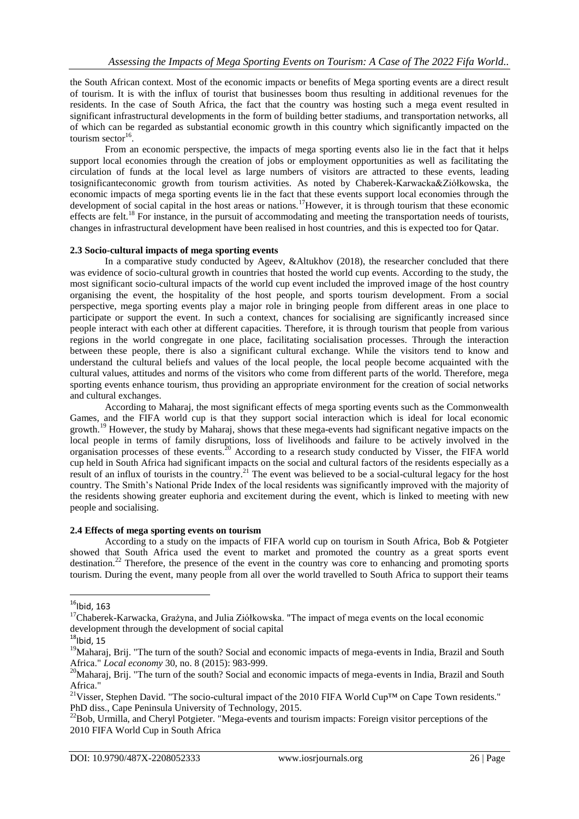the South African context. Most of the economic impacts or benefits of Mega sporting events are a direct result of tourism. It is with the influx of tourist that businesses boom thus resulting in additional revenues for the residents. In the case of South Africa, the fact that the country was hosting such a mega event resulted in significant infrastructural developments in the form of building better stadiums, and transportation networks, all of which can be regarded as substantial economic growth in this country which significantly impacted on the tourism sector $16$ .

From an economic perspective, the impacts of mega sporting events also lie in the fact that it helps support local economies through the creation of jobs or employment opportunities as well as facilitating the circulation of funds at the local level as large numbers of visitors are attracted to these events, leading tosignificanteconomic growth from tourism activities. As noted by Chaberek-Karwacka&Ziółkowska, the economic impacts of mega sporting events lie in the fact that these events support local economies through the development of social capital in the host areas or nations.<sup>17</sup>However, it is through tourism that these economic effects are felt.<sup>18</sup> For instance, in the pursuit of accommodating and meeting the transportation needs of tourists, changes in infrastructural development have been realised in host countries, and this is expected too for Qatar.

#### **2.3 Socio-cultural impacts of mega sporting events**

In a comparative study conducted by Ageev, &Altukhov (2018), the researcher concluded that there was evidence of socio-cultural growth in countries that hosted the world cup events. According to the study, the most significant socio-cultural impacts of the world cup event included the improved image of the host country organising the event, the hospitality of the host people, and sports tourism development. From a social perspective, mega sporting events play a major role in bringing people from different areas in one place to participate or support the event. In such a context, chances for socialising are significantly increased since people interact with each other at different capacities. Therefore, it is through tourism that people from various regions in the world congregate in one place, facilitating socialisation processes. Through the interaction between these people, there is also a significant cultural exchange. While the visitors tend to know and understand the cultural beliefs and values of the local people, the local people become acquainted with the cultural values, attitudes and norms of the visitors who come from different parts of the world. Therefore, mega sporting events enhance tourism, thus providing an appropriate environment for the creation of social networks and cultural exchanges.

According to Maharaj, the most significant effects of mega sporting events such as the Commonwealth Games, and the FIFA world cup is that they support social interaction which is ideal for local economic growth.<sup>19</sup> However, the study by Maharaj, shows that these mega-events had significant negative impacts on the local people in terms of family disruptions, loss of livelihoods and failure to be actively involved in the organisation processes of these events.<sup>20</sup> According to a research study conducted by Visser, the FIFA world cup held in South Africa had significant impacts on the social and cultural factors of the residents especially as a result of an influx of tourists in the country.<sup>21</sup> The event was believed to be a social-cultural legacy for the host country. The Smith's National Pride Index of the local residents was significantly improved with the majority of the residents showing greater euphoria and excitement during the event, which is linked to meeting with new people and socialising.

## **2.4 Effects of mega sporting events on tourism**

According to a study on the impacts of FIFA world cup on tourism in South Africa, Bob & Potgieter showed that South Africa used the event to market and promoted the country as a great sports event destination.<sup>22</sup> Therefore, the presence of the event in the country was core to enhancing and promoting sports tourism. During the event, many people from all over the world travelled to South Africa to support their teams

 $\overline{a}$ 

 $16$ Ibid, 163

<sup>&</sup>lt;sup>17</sup>Chaberek-Karwacka, Grażyna, and Julia Ziółkowska. "The impact of mega events on the local economic development through the development of social capital

 $18$ Ibid, 15

<sup>&</sup>lt;sup>19</sup>Maharaj, Brij. "The turn of the south? Social and economic impacts of mega-events in India, Brazil and South Africa." *Local economy* 30, no. 8 (2015): 983-999.

<sup>&</sup>lt;sup>20</sup>Maharaj, Brij. "The turn of the south? Social and economic impacts of mega-events in India, Brazil and South Africa."

<sup>&</sup>lt;sup>21</sup>Visser, Stephen David. "The socio-cultural impact of the 2010 FIFA World Cup<sup>™</sup> on Cape Town residents." PhD diss., Cape Peninsula University of Technology, 2015.

<sup>&</sup>lt;sup>22</sup>Bob, Urmilla, and Cheryl Potgieter. "Mega-events and tourism impacts: Foreign visitor perceptions of the 2010 FIFA World Cup in South Africa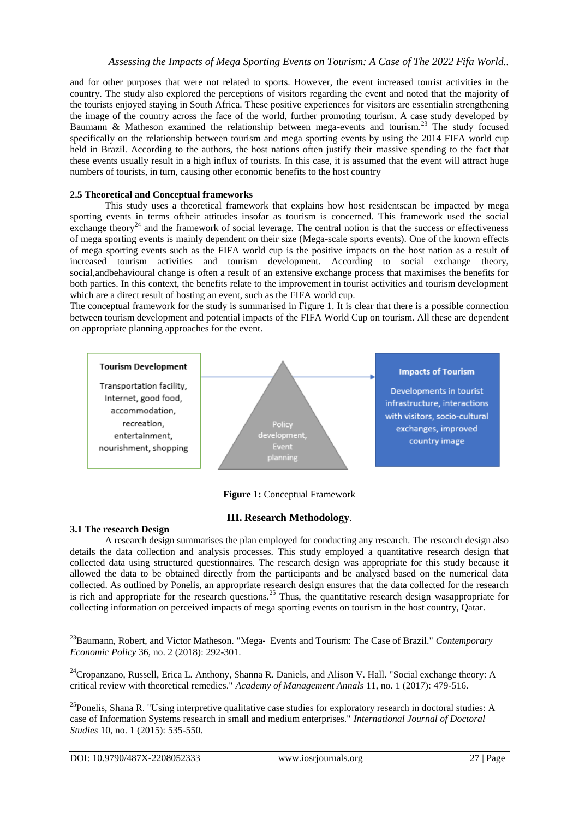and for other purposes that were not related to sports. However, the event increased tourist activities in the country. The study also explored the perceptions of visitors regarding the event and noted that the majority of the tourists enjoyed staying in South Africa. These positive experiences for visitors are essentialin strengthening the image of the country across the face of the world, further promoting tourism. A case study developed by Baumann & Matheson examined the relationship between mega-events and tourism.<sup>23</sup> The study focused specifically on the relationship between tourism and mega sporting events by using the 2014 FIFA world cup held in Brazil. According to the authors, the host nations often justify their massive spending to the fact that these events usually result in a high influx of tourists. In this case, it is assumed that the event will attract huge numbers of tourists, in turn, causing other economic benefits to the host country

#### **2.5 Theoretical and Conceptual frameworks**

This study uses a theoretical framework that explains how host residentscan be impacted by mega sporting events in terms oftheir attitudes insofar as tourism is concerned. This framework used the social exchange theory<sup>24</sup> and the framework of social leverage. The central notion is that the success or effectiveness of mega sporting events is mainly dependent on their size (Mega-scale sports events). One of the known effects of mega sporting events such as the FIFA world cup is the positive impacts on the host nation as a result of increased tourism activities and tourism development. According to social exchange theory, social,andbehavioural change is often a result of an extensive exchange process that maximises the benefits for both parties. In this context, the benefits relate to the improvement in tourist activities and tourism development which are a direct result of hosting an event, such as the FIFA world cup.

The conceptual framework for the study is summarised in Figure 1. It is clear that there is a possible connection between tourism development and potential impacts of the FIFA World Cup on tourism. All these are dependent on appropriate planning approaches for the event.



**Figure 1:** Conceptual Framework

## **III. Research Methodology**.

#### **3.1 The research Design**

**.** 

A research design summarises the plan employed for conducting any research. The research design also details the data collection and analysis processes. This study employed a quantitative research design that collected data using structured questionnaires. The research design was appropriate for this study because it allowed the data to be obtained directly from the participants and be analysed based on the numerical data collected. As outlined by Ponelis, an appropriate research design ensures that the data collected for the research is rich and appropriate for the research questions.<sup>25</sup> Thus, the quantitative research design wasappropriate for collecting information on perceived impacts of mega sporting events on tourism in the host country, Qatar.

<sup>23</sup>Baumann, Robert, and Victor Matheson. "Mega‐ Events and Tourism: The Case of Brazil." *Contemporary Economic Policy* 36, no. 2 (2018): 292-301.

<sup>&</sup>lt;sup>24</sup>Cropanzano, Russell, Erica L. Anthony, Shanna R. Daniels, and Alison V. Hall. "Social exchange theory: A critical review with theoretical remedies." *Academy of Management Annals* 11, no. 1 (2017): 479-516.

 $^{25}$ Ponelis, Shana R. "Using interpretive qualitative case studies for exploratory research in doctoral studies: A case of Information Systems research in small and medium enterprises." *International Journal of Doctoral Studies* 10, no. 1 (2015): 535-550.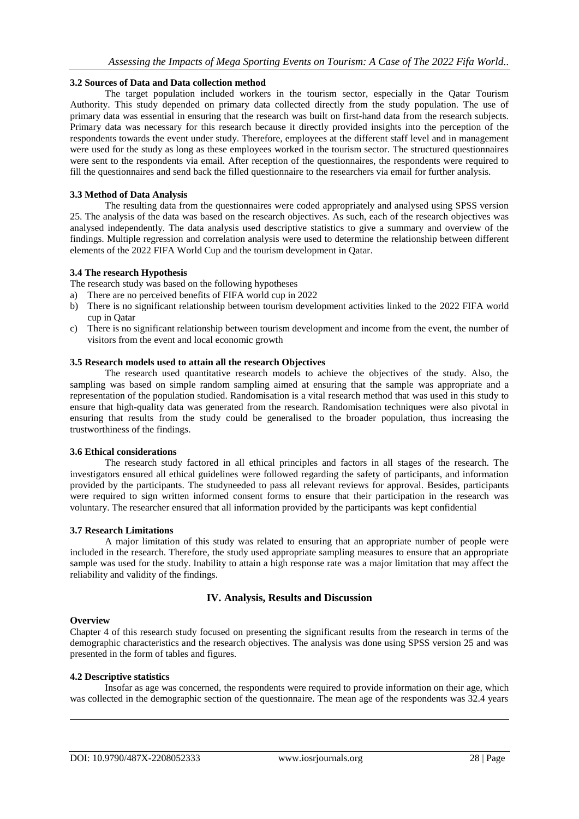#### **3.2 Sources of Data and Data collection method**

The target population included workers in the tourism sector, especially in the Qatar Tourism Authority. This study depended on primary data collected directly from the study population. The use of primary data was essential in ensuring that the research was built on first-hand data from the research subjects. Primary data was necessary for this research because it directly provided insights into the perception of the respondents towards the event under study. Therefore, employees at the different staff level and in management were used for the study as long as these employees worked in the tourism sector. The structured questionnaires were sent to the respondents via email. After reception of the questionnaires, the respondents were required to fill the questionnaires and send back the filled questionnaire to the researchers via email for further analysis.

#### **3.3 Method of Data Analysis**

The resulting data from the questionnaires were coded appropriately and analysed using SPSS version 25. The analysis of the data was based on the research objectives. As such, each of the research objectives was analysed independently. The data analysis used descriptive statistics to give a summary and overview of the findings. Multiple regression and correlation analysis were used to determine the relationship between different elements of the 2022 FIFA World Cup and the tourism development in Qatar.

#### **3.4 The research Hypothesis**

The research study was based on the following hypotheses

- a) There are no perceived benefits of FIFA world cup in 2022
- b) There is no significant relationship between tourism development activities linked to the 2022 FIFA world cup in Qatar
- c) There is no significant relationship between tourism development and income from the event, the number of visitors from the event and local economic growth

#### **3.5 Research models used to attain all the research Objectives**

The research used quantitative research models to achieve the objectives of the study. Also, the sampling was based on simple random sampling aimed at ensuring that the sample was appropriate and a representation of the population studied. Randomisation is a vital research method that was used in this study to ensure that high-quality data was generated from the research. Randomisation techniques were also pivotal in ensuring that results from the study could be generalised to the broader population, thus increasing the trustworthiness of the findings.

#### **3.6 Ethical considerations**

The research study factored in all ethical principles and factors in all stages of the research. The investigators ensured all ethical guidelines were followed regarding the safety of participants, and information provided by the participants. The studyneeded to pass all relevant reviews for approval. Besides, participants were required to sign written informed consent forms to ensure that their participation in the research was voluntary. The researcher ensured that all information provided by the participants was kept confidential

#### **3.7 Research Limitations**

A major limitation of this study was related to ensuring that an appropriate number of people were included in the research. Therefore, the study used appropriate sampling measures to ensure that an appropriate sample was used for the study. Inability to attain a high response rate was a major limitation that may affect the reliability and validity of the findings.

## **IV. Analysis, Results and Discussion**

#### **Overview**

**.** 

Chapter 4 of this research study focused on presenting the significant results from the research in terms of the demographic characteristics and the research objectives. The analysis was done using SPSS version 25 and was presented in the form of tables and figures.

#### **4.2 Descriptive statistics**

Insofar as age was concerned, the respondents were required to provide information on their age, which was collected in the demographic section of the questionnaire. The mean age of the respondents was 32.4 years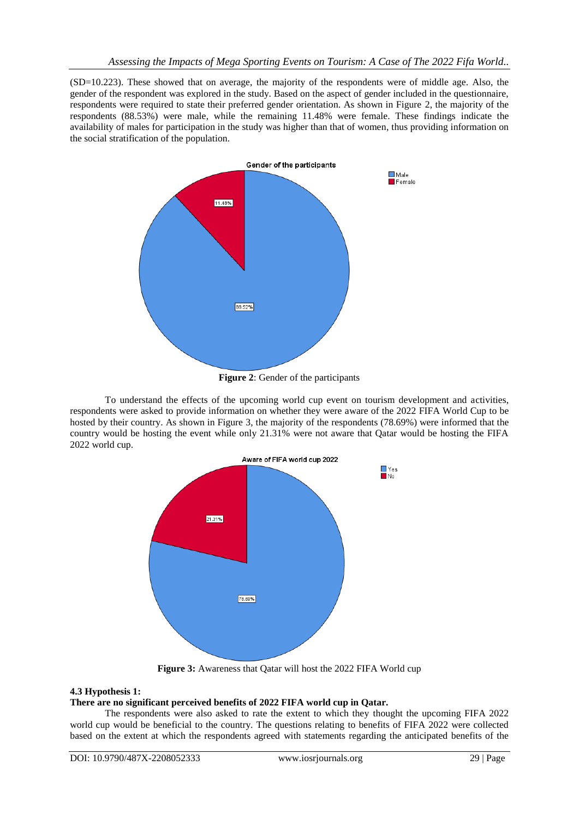(SD=10.223). These showed that on average, the majority of the respondents were of middle age. Also, the gender of the respondent was explored in the study. Based on the aspect of gender included in the questionnaire, respondents were required to state their preferred gender orientation. As shown in Figure 2, the majority of the respondents (88.53%) were male, while the remaining 11.48% were female. These findings indicate the availability of males for participation in the study was higher than that of women, thus providing information on the social stratification of the population.



**Figure 2**: Gender of the participants

To understand the effects of the upcoming world cup event on tourism development and activities, respondents were asked to provide information on whether they were aware of the 2022 FIFA World Cup to be hosted by their country. As shown in Figure 3, the majority of the respondents (78.69%) were informed that the country would be hosting the event while only 21.31% were not aware that Qatar would be hosting the FIFA 2022 world cup.



**Figure 3:** Awareness that Qatar will host the 2022 FIFA World cup

## **4.3 Hypothesis 1:**

## **There are no significant perceived benefits of 2022 FIFA world cup in Qatar.**

The respondents were also asked to rate the extent to which they thought the upcoming FIFA 2022 world cup would be beneficial to the country. The questions relating to benefits of FIFA 2022 were collected based on the extent at which the respondents agreed with statements regarding the anticipated benefits of the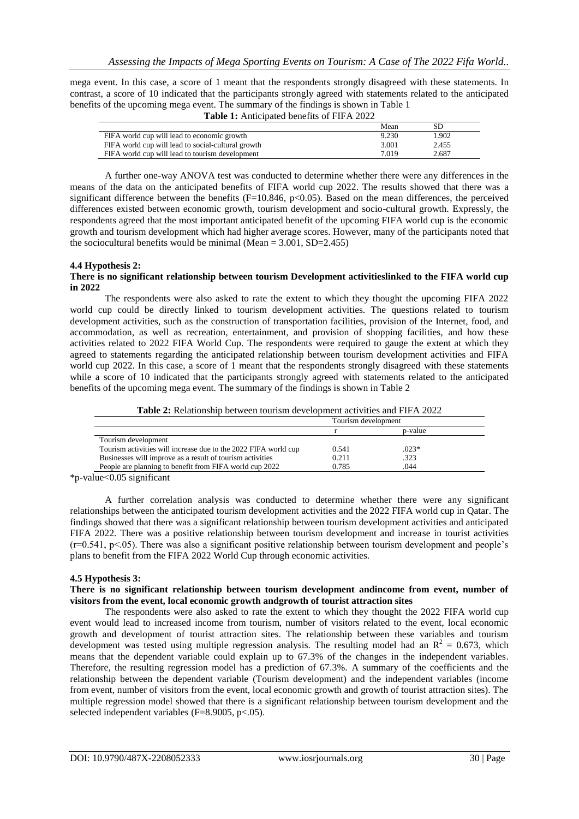mega event. In this case, a score of 1 meant that the respondents strongly disagreed with these statements. In contrast, a score of 10 indicated that the participants strongly agreed with statements related to the anticipated benefits of the upcoming mega event. The summary of the findings is shown in Table 1 **Table 1:** Anticipated benefits of FIFA 2022

|                                                    | Mean  | SD    |
|----------------------------------------------------|-------|-------|
| FIFA world cup will lead to economic growth        | 9.230 | 1.902 |
| FIFA world cup will lead to social-cultural growth | 3.001 | 2.455 |
| FIFA world cup will lead to tourism development    | 7.019 | 2.687 |

A further one-way ANOVA test was conducted to determine whether there were any differences in the means of the data on the anticipated benefits of FIFA world cup 2022. The results showed that there was a significant difference between the benefits (F=10.846, p<0.05). Based on the mean differences, the perceived differences existed between economic growth, tourism development and socio-cultural growth. Expressly, the respondents agreed that the most important anticipated benefit of the upcoming FIFA world cup is the economic growth and tourism development which had higher average scores. However, many of the participants noted that the sociocultural benefits would be minimal (Mean  $= 3.001$ , SD=2.455)

#### **4.4 Hypothesis 2:**

#### **There is no significant relationship between tourism Development activitieslinked to the FIFA world cup in 2022**

The respondents were also asked to rate the extent to which they thought the upcoming FIFA 2022 world cup could be directly linked to tourism development activities. The questions related to tourism development activities, such as the construction of transportation facilities, provision of the Internet, food, and accommodation, as well as recreation, entertainment, and provision of shopping facilities, and how these activities related to 2022 FIFA World Cup. The respondents were required to gauge the extent at which they agreed to statements regarding the anticipated relationship between tourism development activities and FIFA world cup 2022. In this case, a score of 1 meant that the respondents strongly disagreed with these statements while a score of 10 indicated that the participants strongly agreed with statements related to the anticipated benefits of the upcoming mega event. The summary of the findings is shown in Table 2

|  | <b>Table 2:</b> Relationship between tourism development activities and FIFA 2022 |
|--|-----------------------------------------------------------------------------------|
|--|-----------------------------------------------------------------------------------|

|                                                                 |       | Tourism development |  |
|-----------------------------------------------------------------|-------|---------------------|--|
|                                                                 |       | p-value             |  |
| Tourism development                                             |       |                     |  |
| Tourism activities will increase due to the 2022 FIFA world cup | 0.541 | $.023*$             |  |
| Businesses will improve as a result of tourism activities       | 0.211 | .323                |  |
| People are planning to benefit from FIFA world cup 2022         | 0.785 | .044                |  |

\*p-value<0.05 significant

A further correlation analysis was conducted to determine whether there were any significant relationships between the anticipated tourism development activities and the 2022 FIFA world cup in Qatar. The findings showed that there was a significant relationship between tourism development activities and anticipated FIFA 2022. There was a positive relationship between tourism development and increase in tourist activities  $(r=0.541, p<0.65)$ . There was also a significant positive relationship between tourism development and people's plans to benefit from the FIFA 2022 World Cup through economic activities.

#### **4.5 Hypothesis 3:**

#### **There is no significant relationship between tourism development andincome from event, number of visitors from the event, local economic growth andgrowth of tourist attraction sites**

The respondents were also asked to rate the extent to which they thought the 2022 FIFA world cup event would lead to increased income from tourism, number of visitors related to the event, local economic growth and development of tourist attraction sites. The relationship between these variables and tourism development was tested using multiple regression analysis. The resulting model had an  $R^2 = 0.673$ , which means that the dependent variable could explain up to 67.3% of the changes in the independent variables. Therefore, the resulting regression model has a prediction of 67.3%. A summary of the coefficients and the relationship between the dependent variable (Tourism development) and the independent variables (income from event, number of visitors from the event, local economic growth and growth of tourist attraction sites). The multiple regression model showed that there is a significant relationship between tourism development and the selected independent variables  $(F=8.9005, p<.05)$ .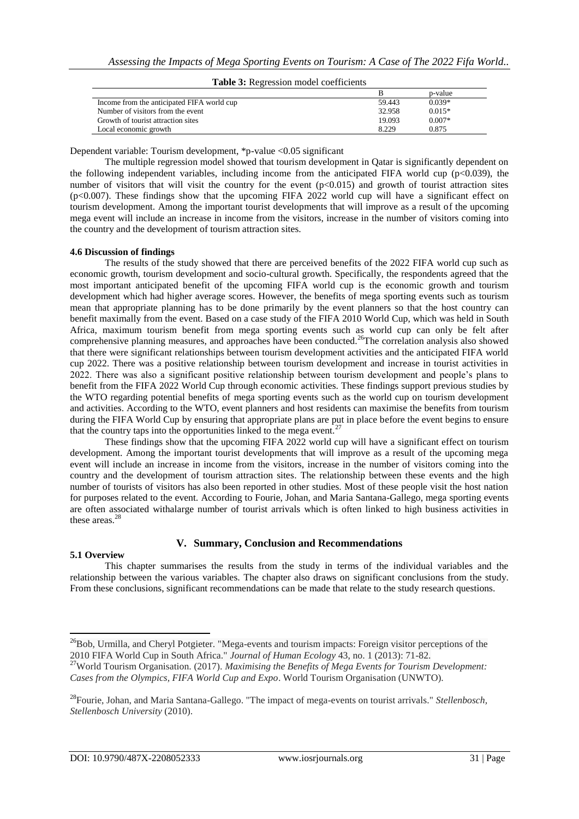|                                            |        | p-value  |  |
|--------------------------------------------|--------|----------|--|
| Income from the anticipated FIFA world cup | 59.443 | $0.039*$ |  |
| Number of visitors from the event          | 32.958 | $0.015*$ |  |
| Growth of tourist attraction sites         | 19.093 | $0.007*$ |  |
| Local economic growth                      | 8.229  | 0.875    |  |

Table 3: Pegression model coefficients

Dependent variable: Tourism development, \*p-value <0.05 significant

The multiple regression model showed that tourism development in Qatar is significantly dependent on the following independent variables, including income from the anticipated FIFA world cup  $(p<0.039)$ , the number of visitors that will visit the country for the event  $(p<0.015)$  and growth of tourist attraction sites (p<0.007). These findings show that the upcoming FIFA 2022 world cup will have a significant effect on tourism development. Among the important tourist developments that will improve as a result of the upcoming mega event will include an increase in income from the visitors, increase in the number of visitors coming into the country and the development of tourism attraction sites.

#### **4.6 Discussion of findings**

The results of the study showed that there are perceived benefits of the 2022 FIFA world cup such as economic growth, tourism development and socio-cultural growth. Specifically, the respondents agreed that the most important anticipated benefit of the upcoming FIFA world cup is the economic growth and tourism development which had higher average scores. However, the benefits of mega sporting events such as tourism mean that appropriate planning has to be done primarily by the event planners so that the host country can benefit maximally from the event. Based on a case study of the FIFA 2010 World Cup, which was held in South Africa, maximum tourism benefit from mega sporting events such as world cup can only be felt after comprehensive planning measures, and approaches have been conducted.<sup>26</sup>The correlation analysis also showed that there were significant relationships between tourism development activities and the anticipated FIFA world cup 2022. There was a positive relationship between tourism development and increase in tourist activities in 2022. There was also a significant positive relationship between tourism development and people's plans to benefit from the FIFA 2022 World Cup through economic activities. These findings support previous studies by the WTO regarding potential benefits of mega sporting events such as the world cup on tourism development and activities. According to the WTO, event planners and host residents can maximise the benefits from tourism during the FIFA World Cup by ensuring that appropriate plans are put in place before the event begins to ensure that the country taps into the opportunities linked to the mega event.<sup>27</sup>

These findings show that the upcoming FIFA 2022 world cup will have a significant effect on tourism development. Among the important tourist developments that will improve as a result of the upcoming mega event will include an increase in income from the visitors, increase in the number of visitors coming into the country and the development of tourism attraction sites. The relationship between these events and the high number of tourists of visitors has also been reported in other studies. Most of these people visit the host nation for purposes related to the event. According to Fourie, Johan, and Maria Santana-Gallego, mega sporting events are often associated withalarge number of tourist arrivals which is often linked to high business activities in these areas.<sup>28</sup>

## **V. Summary, Conclusion and Recommendations**

#### **5.1 Overview**

**.** 

This chapter summarises the results from the study in terms of the individual variables and the relationship between the various variables. The chapter also draws on significant conclusions from the study. From these conclusions, significant recommendations can be made that relate to the study research questions.

<sup>&</sup>lt;sup>26</sup>Bob, Urmilla, and Cheryl Potgieter. "Mega-events and tourism impacts: Foreign visitor perceptions of the 2010 FIFA World Cup in South Africa." *Journal of Human Ecology* 43, no. 1 (2013): 71-82.

<sup>27</sup>World Tourism Organisation. (2017). *Maximising the Benefits of Mega Events for Tourism Development: Cases from the Olympics, FIFA World Cup and Expo*. World Tourism Organisation (UNWTO).

<sup>28</sup>Fourie, Johan, and Maria Santana-Gallego. "The impact of mega-events on tourist arrivals." *Stellenbosch, Stellenbosch University* (2010).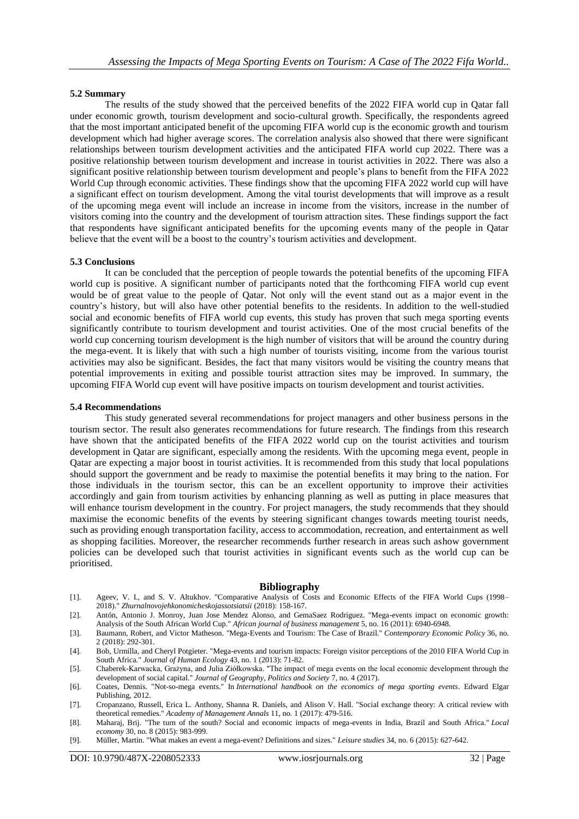#### **5.2 Summary**

The results of the study showed that the perceived benefits of the 2022 FIFA world cup in Qatar fall under economic growth, tourism development and socio-cultural growth. Specifically, the respondents agreed that the most important anticipated benefit of the upcoming FIFA world cup is the economic growth and tourism development which had higher average scores. The correlation analysis also showed that there were significant relationships between tourism development activities and the anticipated FIFA world cup 2022. There was a positive relationship between tourism development and increase in tourist activities in 2022. There was also a significant positive relationship between tourism development and people's plans to benefit from the FIFA 2022 World Cup through economic activities. These findings show that the upcoming FIFA 2022 world cup will have a significant effect on tourism development. Among the vital tourist developments that will improve as a result of the upcoming mega event will include an increase in income from the visitors, increase in the number of visitors coming into the country and the development of tourism attraction sites. These findings support the fact that respondents have significant anticipated benefits for the upcoming events many of the people in Qatar believe that the event will be a boost to the country's tourism activities and development.

#### **5.3 Conclusions**

It can be concluded that the perception of people towards the potential benefits of the upcoming FIFA world cup is positive. A significant number of participants noted that the forthcoming FIFA world cup event would be of great value to the people of Qatar. Not only will the event stand out as a major event in the country's history, but will also have other potential benefits to the residents. In addition to the well-studied social and economic benefits of FIFA world cup events, this study has proven that such mega sporting events significantly contribute to tourism development and tourist activities. One of the most crucial benefits of the world cup concerning tourism development is the high number of visitors that will be around the country during the mega-event. It is likely that with such a high number of tourists visiting, income from the various tourist activities may also be significant. Besides, the fact that many visitors would be visiting the country means that potential improvements in exiting and possible tourist attraction sites may be improved. In summary, the upcoming FIFA World cup event will have positive impacts on tourism development and tourist activities.

#### **5.4 Recommendations**

This study generated several recommendations for project managers and other business persons in the tourism sector. The result also generates recommendations for future research. The findings from this research have shown that the anticipated benefits of the FIFA 2022 world cup on the tourist activities and tourism development in Qatar are significant, especially among the residents. With the upcoming mega event, people in Qatar are expecting a major boost in tourist activities. It is recommended from this study that local populations should support the government and be ready to maximise the potential benefits it may bring to the nation. For those individuals in the tourism sector, this can be an excellent opportunity to improve their activities accordingly and gain from tourism activities by enhancing planning as well as putting in place measures that will enhance tourism development in the country. For project managers, the study recommends that they should maximise the economic benefits of the events by steering significant changes towards meeting tourist needs, such as providing enough transportation facility, access to accommodation, recreation, and entertainment as well as shopping facilities. Moreover, the researcher recommends further research in areas such ashow government policies can be developed such that tourist activities in significant events such as the world cup can be prioritised.

#### **Bibliography**

- [1]. Ageev, V. I., and S. V. Altukhov. "Comparative Analysis of Costs and Economic Effects of the FIFA World Cups (1998– 2018)." *Zhurnalnovojehkonomicheskojassotsiatsii* (2018): 158-167.
- [2]. Antón, Antonio J. Monroy, Juan Jose Mendez Alonso, and GemaSaez Rodriguez. "Mega-events impact on economic growth: Analysis of the South African World Cup." *African journal of business management* 5, no. 16 (2011): 6940-6948.
- [3]. Baumann, Robert, and Victor Matheson. "Mega‐Events and Tourism: The Case of Brazil." *Contemporary Economic Policy* 36, no. 2 (2018): 292-301.
- [4]. Bob, Urmilla, and Cheryl Potgieter. "Mega-events and tourism impacts: Foreign visitor perceptions of the 2010 FIFA World Cup in South Africa." *Journal of Human Ecology* 43, no. 1 (2013): 71-82.
- [5]. Chaberek-Karwacka, Grażyna, and Julia Ziółkowska. "The impact of mega events on the local economic development through the development of social capital." *Journal of Geography, Politics and Society* 7, no. 4 (2017).
- [6]. Coates, Dennis. "Not-so-mega events." In *International handbook on the economics of mega sporting events*. Edward Elgar Publishing, 2012.
- [7]. Cropanzano, Russell, Erica L. Anthony, Shanna R. Daniels, and Alison V. Hall. "Social exchange theory: A critical review with theoretical remedies." *Academy of Management Annals* 11, no. 1 (2017): 479-516.
- [8]. Maharaj, Brij. "The turn of the south? Social and economic impacts of mega-events in India, Brazil and South Africa." *Local economy* 30, no. 8 (2015): 983-999.
- [9]. Müller, Martin. "What makes an event a mega-event? Definitions and sizes." *Leisure studies* 34, no. 6 (2015): 627-642.